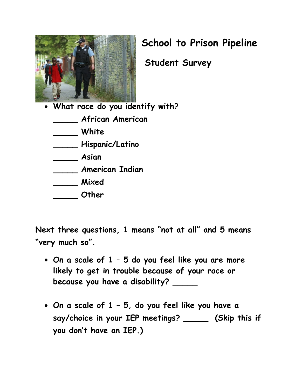

## **School to Prison Pipeline**

 **Student Survey**

• **What race do you identify with?**

**\_\_\_\_\_ African American**

**\_\_\_\_\_ White**

**\_\_\_\_\_ Hispanic/Latino**

**\_\_\_\_\_ Asian**

**\_\_\_\_\_ American Indian**

**\_\_\_\_\_ Mixed**

**\_\_\_\_\_ Other**

**Next three questions, 1 means "not at all" and 5 means "very much so".**

- **On a scale of 1 – 5 do you feel like you are more likely to get in trouble because of your race or because you have a disability? \_\_\_\_\_**
- **On a scale of 1 – 5, do you feel like you have a say/choice in your IEP meetings? \_\_\_\_\_ (Skip this if you don't have an IEP.)**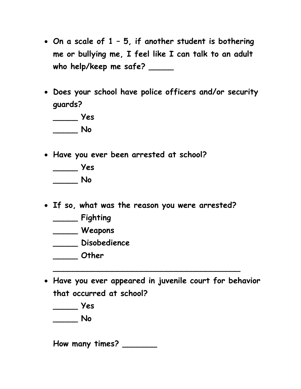- **On a scale of 1 – 5, if another student is bothering me or bullying me, I feel like I can talk to an adult who help/keep me safe? \_\_\_\_\_**
- **Does your school have police officers and/or security guards?**

**\_\_\_\_\_ Yes \_\_\_\_\_ No**

• **Have you ever been arrested at school?**

**\_\_\_\_\_ Yes \_\_\_\_\_ No**

- **If so, what was the reason you were arrested?**
	- **\_\_\_\_\_ Fighting**
	- **\_\_\_\_\_ Weapons**
	- **\_\_\_\_\_ Disobedience**
	- **\_\_\_\_\_ Other**
- **Have you ever appeared in juvenile court for behavior that occurred at school?**

**\_\_\_\_\_\_\_\_\_\_\_\_\_\_\_\_\_\_\_\_\_\_\_\_\_\_\_\_\_\_\_\_\_\_\_\_\_\_**

**\_\_\_\_\_ Yes**

**\_\_\_\_\_ No**

**How many times? \_\_\_\_\_\_\_**